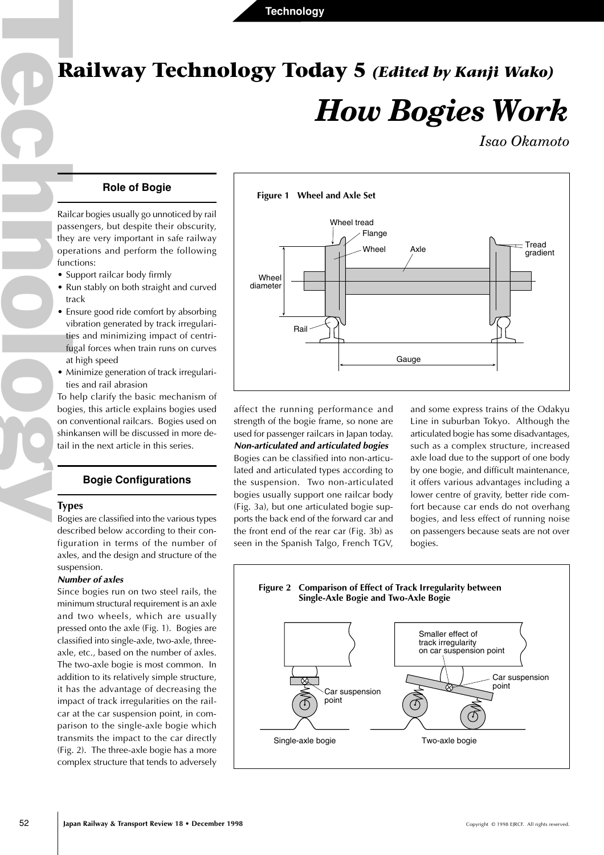# **Railway Technology Today 5** *(Edited by Kanji Wako)*

# *How Bogies Work*

*Isao Okamoto*

# **Role of Bogie**

Railcar bogies usually go unnoticed by rail passengers, but despite their obscurity, they are very important in safe railway operations and perform the following functions:

• Support railcar body firmly

 $\overline{\phantom{a}}$ 

- Run stably on both straight and curved track
- Echan Contract Contract Contract Contract Contract Contract Contract Contract Contract Contract Contract Contract Contract Contract Contract Contract Contract Contract Contract Contract Contract Contract Contract Contract • Ensure good ride comfort by absorbing vibration generated by track irregularities and minimizing impact of centrifugal forces when train runs on curves at high speed
	- Minimize generation of track irregularities and rail abrasion

To help clarify the basic mechanism of bogies, this article explains bogies used on conventional railcars. Bogies used on shinkansen will be discussed in more detail in the next article in this series.

# **Bogie Configurations**

### **Types**

Bogies are classified into the various types described below according to their configuration in terms of the number of axles, and the design and structure of the suspension.

#### **Number of axles**

Since bogies run on two steel rails, the minimum structural requirement is an axle and two wheels, which are usually pressed onto the axle (Fig. 1). Bogies are classified into single-axle, two-axle, threeaxle, etc., based on the number of axles. The two-axle bogie is most common. In addition to its relatively simple structure, it has the advantage of decreasing the impact of track irregularities on the railcar at the car suspension point, in comparison to the single-axle bogie which transmits the impact to the car directly (Fig. 2). The three-axle bogie has a more complex structure that tends to adversely



affect the running performance and strength of the bogie frame, so none are used for passenger railcars in Japan today. **Non-articulated and articulated bogies** Bogies can be classified into non-articulated and articulated types according to the suspension. Two non-articulated bogies usually support one railcar body (Fig. 3a), but one articulated bogie supports the back end of the forward car and the front end of the rear car (Fig. 3b) as seen in the Spanish Talgo, French TGV, and some express trains of the Odakyu Line in suburban Tokyo. Although the articulated bogie has some disadvantages, such as a complex structure, increased axle load due to the support of one body by one bogie, and difficult maintenance, it offers various advantages including a lower centre of gravity, better ride comfort because car ends do not overhang bogies, and less effect of running noise on passengers because seats are not over bogies.

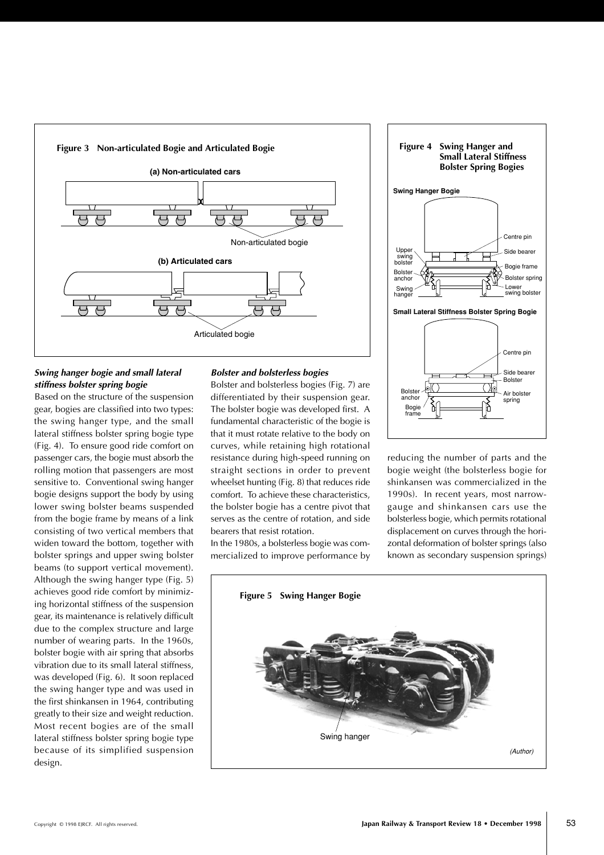

# **Swing hanger bogie and small lateral stiffness bolster spring bogie**

Based on the structure of the suspension gear, bogies are classified into two types: the swing hanger type, and the small lateral stiffness bolster spring bogie type (Fig. 4). To ensure good ride comfort on passenger cars, the bogie must absorb the rolling motion that passengers are most sensitive to. Conventional swing hanger bogie designs support the body by using lower swing bolster beams suspended from the bogie frame by means of a link consisting of two vertical members that widen toward the bottom, together with bolster springs and upper swing bolster beams (to support vertical movement). Although the swing hanger type (Fig. 5) achieves good ride comfort by minimizing horizontal stiffness of the suspension gear, its maintenance is relatively difficult due to the complex structure and large number of wearing parts. In the 1960s, bolster bogie with air spring that absorbs vibration due to its small lateral stiffness, was developed (Fig. 6). It soon replaced the swing hanger type and was used in the first shinkansen in 1964, contributing greatly to their size and weight reduction. Most recent bogies are of the small lateral stiffness bolster spring bogie type because of its simplified suspension design.

# **Bolster and bolsterless bogies**

Bolster and bolsterless bogies (Fig. 7) are differentiated by their suspension gear. The bolster bogie was developed first. A fundamental characteristic of the bogie is that it must rotate relative to the body on curves, while retaining high rotational resistance during high-speed running on straight sections in order to prevent wheelset hunting (Fig. 8) that reduces ride comfort. To achieve these characteristics, the bolster bogie has a centre pivot that serves as the centre of rotation, and side bearers that resist rotation.

In the 1980s, a bolsterless bogie was commercialized to improve performance by



reducing the number of parts and the bogie weight (the bolsterless bogie for shinkansen was commercialized in the 1990s). In recent years, most narrowgauge and shinkansen cars use the bolsterless bogie, which permits rotational displacement on curves through the horizontal deformation of bolster springs (also known as secondary suspension springs)

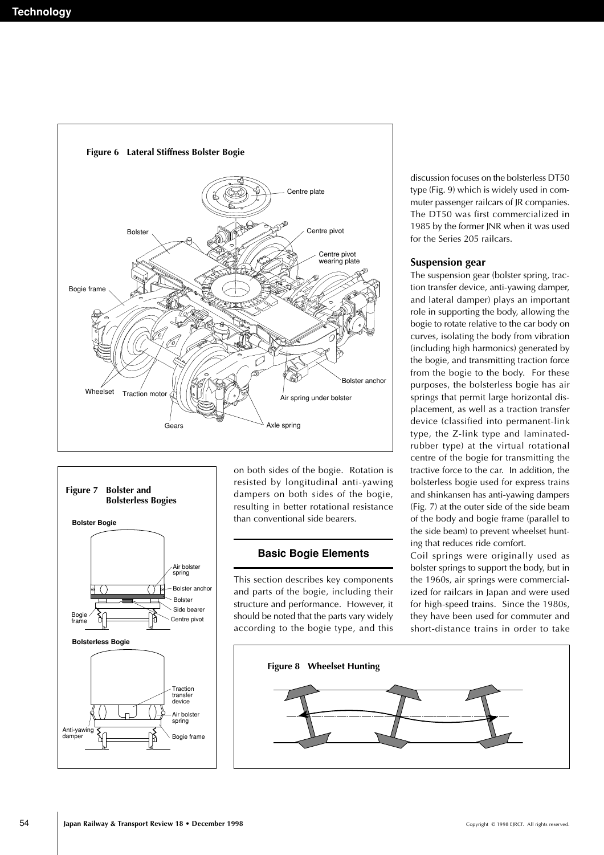



on both sides of the bogie. Rotation is resisted by longitudinal anti-yawing dampers on both sides of the bogie, resulting in better rotational resistance than conventional side bearers.

# **Basic Bogie Elements**

This section describes key components and parts of the bogie, including their structure and performance. However, it should be noted that the parts vary widely according to the bogie type, and this

discussion focuses on the bolsterless DT50 type (Fig. 9) which is widely used in commuter passenger railcars of JR companies. The DT50 was first commercialized in 1985 by the former JNR when it was used for the Series 205 railcars.

### **Suspension gear**

The suspension gear (bolster spring, traction transfer device, anti-yawing damper, and lateral damper) plays an important role in supporting the body, allowing the bogie to rotate relative to the car body on curves, isolating the body from vibration (including high harmonics) generated by the bogie, and transmitting traction force from the bogie to the body. For these purposes, the bolsterless bogie has air springs that permit large horizontal displacement, as well as a traction transfer device (classified into permanent-link type, the Z-link type and laminatedrubber type) at the virtual rotational centre of the bogie for transmitting the tractive force to the car. In addition, the bolsterless bogie used for express trains and shinkansen has anti-yawing dampers (Fig. 7) at the outer side of the side beam of the body and bogie frame (parallel to the side beam) to prevent wheelset hunting that reduces ride comfort.

Coil springs were originally used as bolster springs to support the body, but in the 1960s, air springs were commercialized for railcars in Japan and were used for high-speed trains. Since the 1980s, they have been used for commuter and short-distance trains in order to take

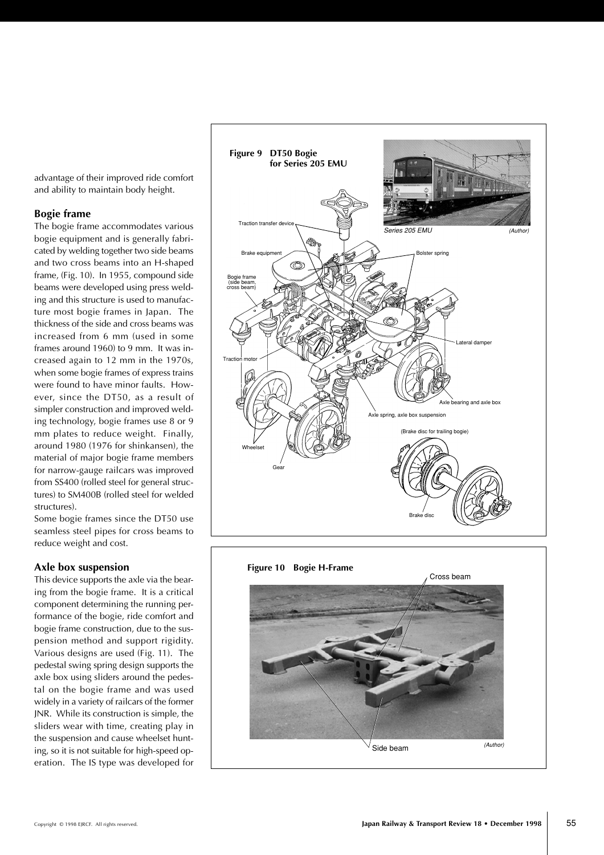advantage of their improved ride comfort and ability to maintain body height.

# **Bogie frame**

The bogie frame accommodates various bogie equipment and is generally fabricated by welding together two side beams and two cross beams into an H-shaped frame, (Fig. 10). In 1955, compound side beams were developed using press welding and this structure is used to manufacture most bogie frames in Japan. The thickness of the side and cross beams was increased from 6 mm (used in some frames around 1960) to 9 mm. It was increased again to 12 mm in the 1970s, when some bogie frames of express trains were found to have minor faults. However, since the DT50, as a result of simpler construction and improved welding technology, bogie frames use 8 or 9 mm plates to reduce weight. Finally, around 1980 (1976 for shinkansen), the material of major bogie frame members for narrow-gauge railcars was improved from SS400 (rolled steel for general structures) to SM400B (rolled steel for welded structures).

Some bogie frames since the DT50 use seamless steel pipes for cross beams to reduce weight and cost.

# **Axle box suspension**

This device supports the axle via the bearing from the bogie frame. It is a critical component determining the running performance of the bogie, ride comfort and bogie frame construction, due to the suspension method and support rigidity. Various designs are used (Fig. 11). The pedestal swing spring design supports the axle box using sliders around the pedestal on the bogie frame and was used widely in a variety of railcars of the former JNR. While its construction is simple, the sliders wear with time, creating play in the suspension and cause wheelset hunting, so it is not suitable for high-speed operation. The IS type was developed for



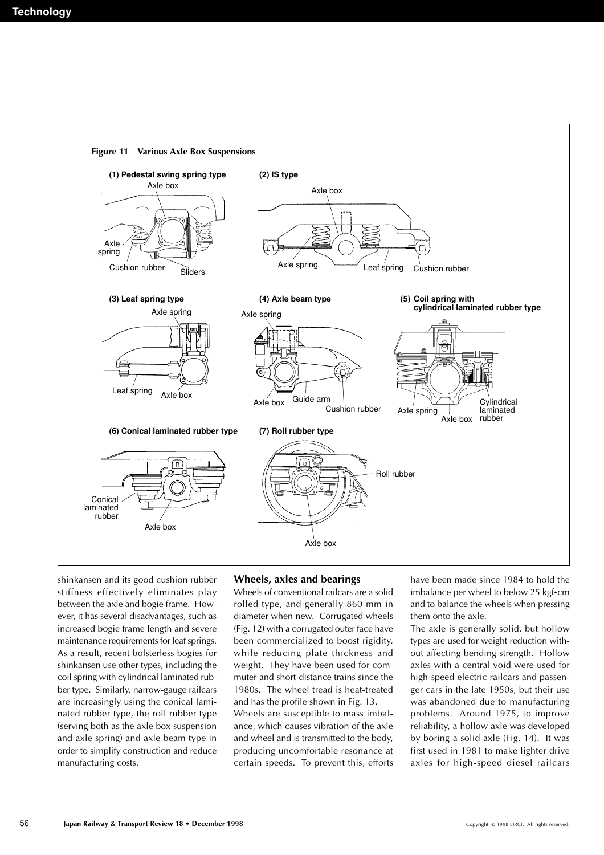

shinkansen and its good cushion rubber stiffness effectively eliminates play between the axle and bogie frame. However, it has several disadvantages, such as increased bogie frame length and severe maintenance requirements for leaf springs. As a result, recent bolsterless bogies for shinkansen use other types, including the coil spring with cylindrical laminated rubber type. Similarly, narrow-gauge railcars are increasingly using the conical laminated rubber type, the roll rubber type (serving both as the axle box suspension and axle spring) and axle beam type in order to simplify construction and reduce manufacturing costs.

# **Wheels, axles and bearings**

Wheels of conventional railcars are a solid rolled type, and generally 860 mm in diameter when new. Corrugated wheels (Fig. 12) with a corrugated outer face have been commercialized to boost rigidity, while reducing plate thickness and weight. They have been used for commuter and short-distance trains since the 1980s. The wheel tread is heat-treated and has the profile shown in Fig. 13. Wheels are susceptible to mass imbalance, which causes vibration of the axle and wheel and is transmitted to the body, producing uncomfortable resonance at certain speeds. To prevent this, efforts have been made since 1984 to hold the imbalance per wheel to below 25 kgf•cm and to balance the wheels when pressing them onto the axle.

The axle is generally solid, but hollow types are used for weight reduction without affecting bending strength. Hollow axles with a central void were used for high-speed electric railcars and passenger cars in the late 1950s, but their use was abandoned due to manufacturing problems. Around 1975, to improve reliability, a hollow axle was developed by boring a solid axle (Fig. 14). It was first used in 1981 to make lighter drive axles for high-speed diesel railcars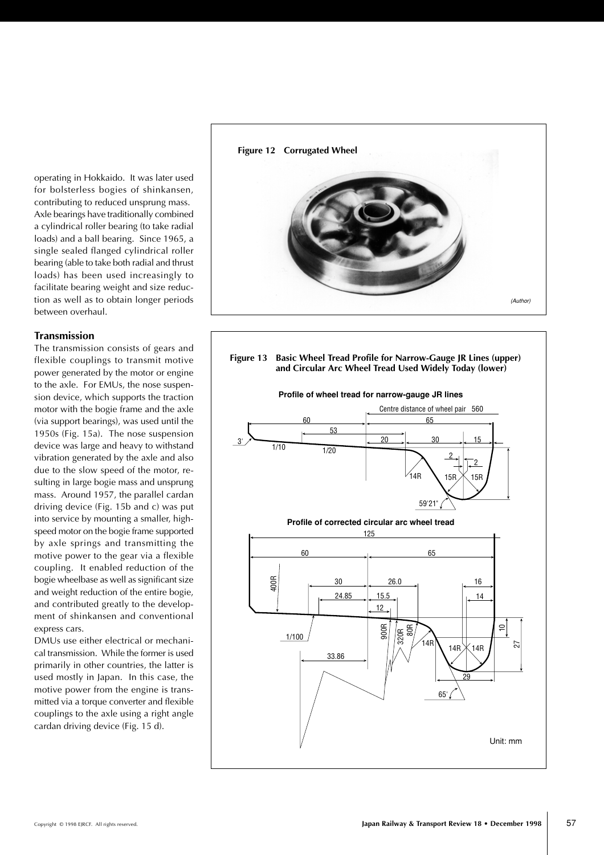operating in Hokkaido. It was later used for bolsterless bogies of shinkansen, contributing to reduced unsprung mass. Axle bearings have traditionally combined a cylindrical roller bearing (to take radial loads) and a ball bearing. Since 1965, a single sealed flanged cylindrical roller bearing (able to take both radial and thrust loads) has been used increasingly to facilitate bearing weight and size reduction as well as to obtain longer periods between overhaul.

# **Transmission**

The transmission consists of gears and flexible couplings to transmit motive power generated by the motor or engine to the axle. For EMUs, the nose suspension device, which supports the traction motor with the bogie frame and the axle (via support bearings), was used until the 1950s (Fig. 15a). The nose suspension device was large and heavy to withstand vibration generated by the axle and also due to the slow speed of the motor, resulting in large bogie mass and unsprung mass. Around 1957, the parallel cardan driving device (Fig. 15b and c) was put into service by mounting a smaller, highspeed motor on the bogie frame supported by axle springs and transmitting the motive power to the gear via a flexible coupling. It enabled reduction of the bogie wheelbase as well as significant size and weight reduction of the entire bogie, and contributed greatly to the development of shinkansen and conventional express cars.

DMUs use either electrical or mechanical transmission. While the former is used primarily in other countries, the latter is used mostly in Japan. In this case, the motive power from the engine is transmitted via a torque converter and flexible couplings to the axle using a right angle cardan driving device (Fig. 15 d).



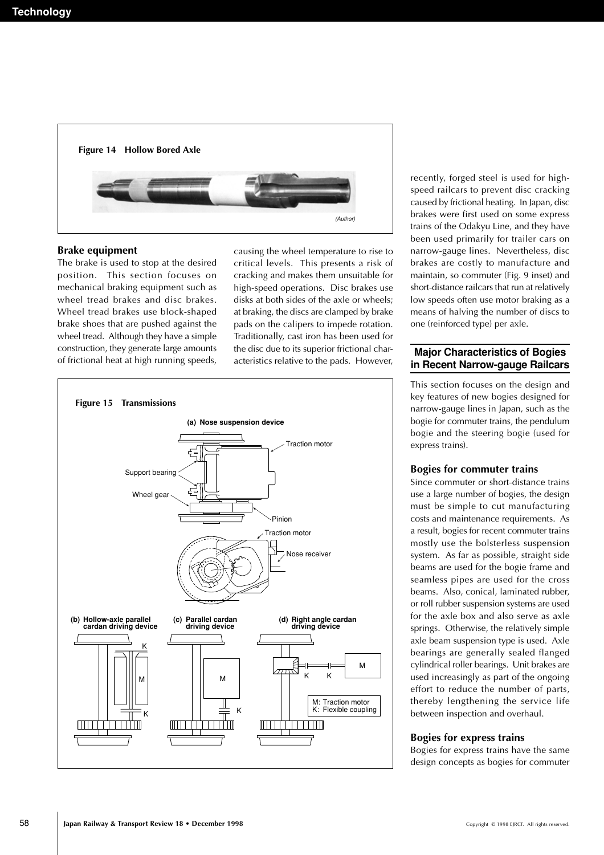

#### **Brake equipment**

The brake is used to stop at the desired position. This section focuses on mechanical braking equipment such as wheel tread brakes and disc brakes. Wheel tread brakes use block-shaped brake shoes that are pushed against the wheel tread. Although they have a simple construction, they generate large amounts of frictional heat at high running speeds, causing the wheel temperature to rise to critical levels. This presents a risk of cracking and makes them unsuitable for high-speed operations. Disc brakes use disks at both sides of the axle or wheels; at braking, the discs are clamped by brake pads on the calipers to impede rotation. Traditionally, cast iron has been used for the disc due to its superior frictional characteristics relative to the pads. However,



recently, forged steel is used for highspeed railcars to prevent disc cracking caused by frictional heating. In Japan, disc brakes were first used on some express trains of the Odakyu Line, and they have been used primarily for trailer cars on narrow-gauge lines. Nevertheless, disc brakes are costly to manufacture and maintain, so commuter (Fig. 9 inset) and short-distance railcars that run at relatively low speeds often use motor braking as a means of halving the number of discs to one (reinforced type) per axle.

# **Major Characteristics of Bogies in Recent Narrow-gauge Railcars**

This section focuses on the design and key features of new bogies designed for narrow-gauge lines in Japan, such as the bogie for commuter trains, the pendulum bogie and the steering bogie (used for express trains).

#### **Bogies for commuter trains**

Since commuter or short-distance trains use a large number of bogies, the design must be simple to cut manufacturing costs and maintenance requirements. As a result, bogies for recent commuter trains mostly use the bolsterless suspension system. As far as possible, straight side beams are used for the bogie frame and seamless pipes are used for the cross beams. Also, conical, laminated rubber, or roll rubber suspension systems are used for the axle box and also serve as axle springs. Otherwise, the relatively simple axle beam suspension type is used. Axle bearings are generally sealed flanged cylindrical roller bearings. Unit brakes are used increasingly as part of the ongoing effort to reduce the number of parts, thereby lengthening the service life between inspection and overhaul.

#### **Bogies for express trains**

Bogies for express trains have the same design concepts as bogies for commuter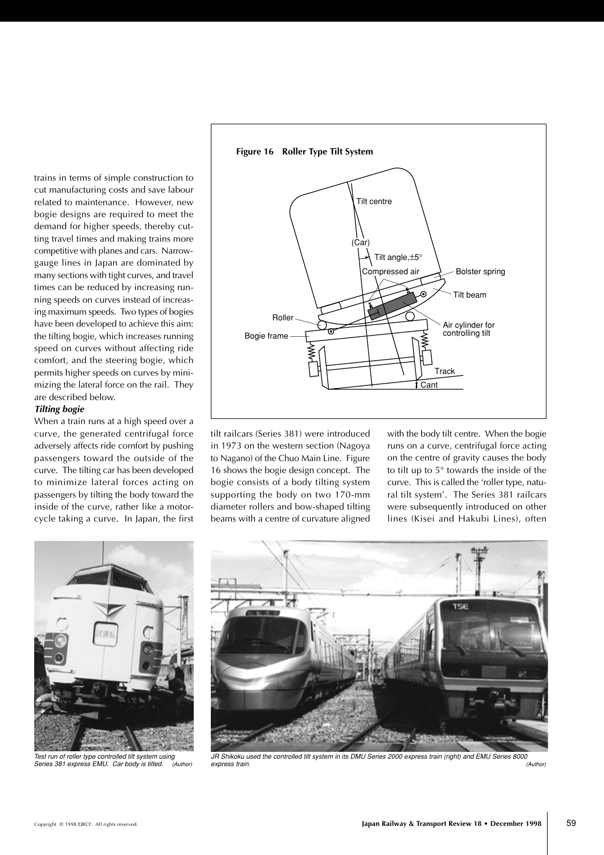trains in terms of simple construction to cut manufacturing costs and save labour related to maintenance. However, new bogie designs are required to meet the demand for higher speeds, thereby cutting travel times and making trains more competitive with planes and cars. Narrowgauge lines in Japan are dominated by many sections with tight curves, and travel times can be reduced by increasing running speeds on curves instead of increasing maximum speeds. Two types of bogies have been developed to achieve this aim: the tilting bogie, which increases running speed on curves without affecting ride comfort, and the steering bogie, which permits higher speeds on curves by minimizing the lateral force on the rail. They are described below.

# **Tilting bogie**

When a train runs at a high speed over a curve, the generated centrifugal force adversely affects ride comfort by pushing passengers toward the outside of the curve. The tilting car has been developed to minimize lateral forces acting on passengers by tilting the body toward the inside of the curve, rather like a motorcycle taking a curve. In Japan, the first



tilt railcars (Series 381) were introduced in 1973 on the western section (Nagoya to Nagano) of the Chuo Main Line. Figure 16 shows the bogie design concept. The bogie consists of a body tilting system supporting the body on two 170-mm diameter rollers and bow-shaped tilting beams with a centre of curvature aligned

with the body tilt centre. When the bogie runs on a curve, centrifugal force acting on the centre of gravity causes the body to tilt up to 5° towards the inside of the curve. This is called the 'roller type, natural tilt system'. The Series 381 railcars were subsequently introduced on other lines (Kisei and Hakubi Lines), often



Test run of roller type controlled tilt system using Series 381 express EMU. Car body is tilted. (Author)



JR Shikoku used the controlled tilt system in its DMU Series 2000 express train (right) and EMU Series 8000 express train. (Author)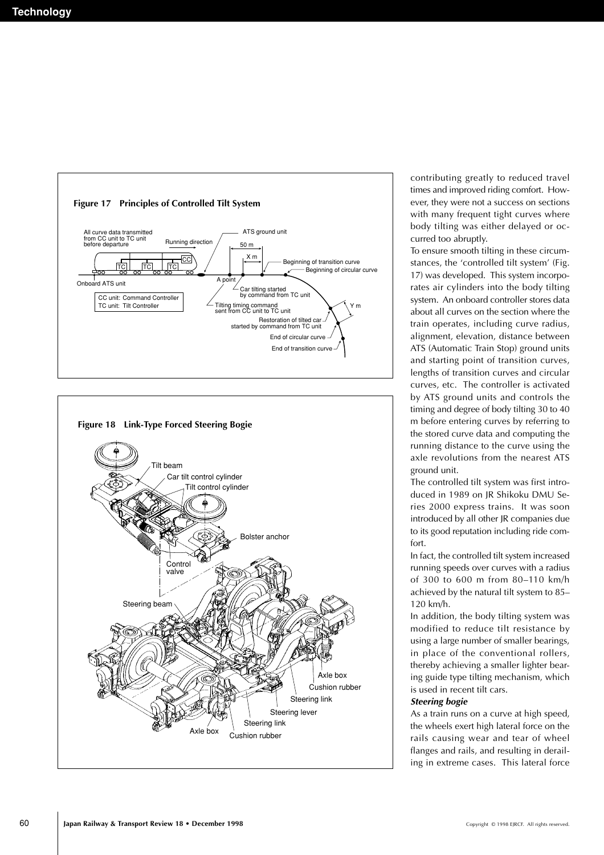



contributing greatly to reduced travel times and improved riding comfort. However, they were not a success on sections with many frequent tight curves where body tilting was either delayed or occurred too abruptly.

To ensure smooth tilting in these circumstances, the 'controlled tilt system' (Fig. 17) was developed. This system incorporates air cylinders into the body tilting system. An onboard controller stores data about all curves on the section where the train operates, including curve radius, alignment, elevation, distance between ATS (Automatic Train Stop) ground units and starting point of transition curves, lengths of transition curves and circular curves, etc. The controller is activated by ATS ground units and controls the timing and degree of body tilting 30 to 40 m before entering curves by referring to the stored curve data and computing the running distance to the curve using the axle revolutions from the nearest ATS ground unit.

The controlled tilt system was first introduced in 1989 on JR Shikoku DMU Series 2000 express trains. It was soon introduced by all other JR companies due to its good reputation including ride comfort.

In fact, the controlled tilt system increased running speeds over curves with a radius of 300 to 600 m from 80–110 km/h achieved by the natural tilt system to 85– 120 km/h.

In addition, the body tilting system was modified to reduce tilt resistance by using a large number of smaller bearings, in place of the conventional rollers, thereby achieving a smaller lighter bearing guide type tilting mechanism, which is used in recent tilt cars.

#### **Steering bogie**

As a train runs on a curve at high speed, the wheels exert high lateral force on the rails causing wear and tear of wheel flanges and rails, and resulting in derailing in extreme cases. This lateral force